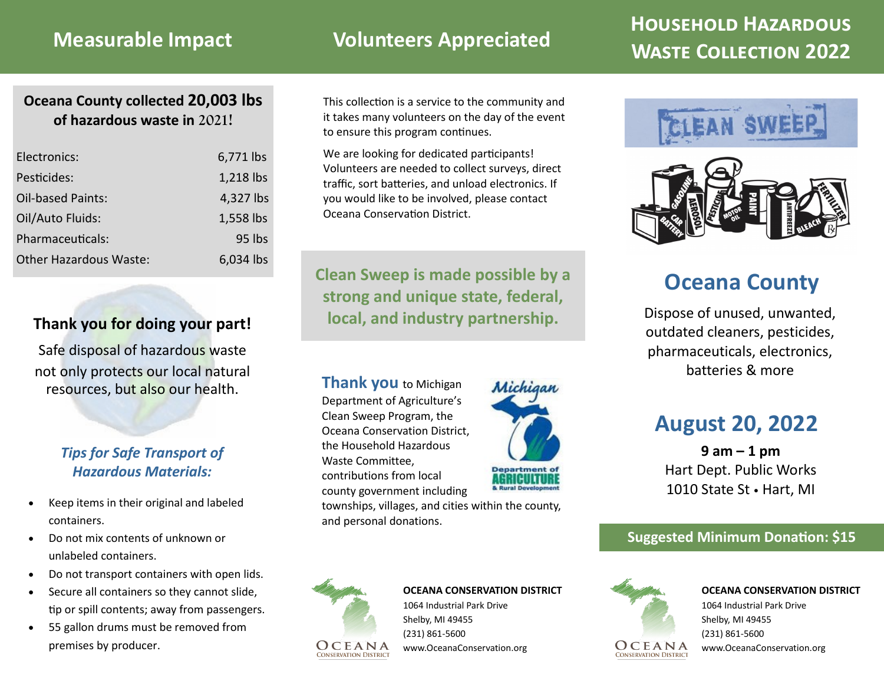**Volunteers Appreciated**

# **Household Hazardous Waste Collection 2022**

### **Oceana County collected 20,003 lbs of hazardous waste in 2021!**

| Electronics:                  | 6,771 lbs |
|-------------------------------|-----------|
| Pesticides:                   | 1,218 lbs |
| <b>Oil-based Paints:</b>      | 4,327 lbs |
| Oil/Auto Fluids:              | 1,558 lbs |
| Pharmaceuticals:              | $95$ lbs  |
| <b>Other Hazardous Waste:</b> | 6,034 lbs |

## **Thank you for doing your part!**

Safe disposal of hazardous waste not only protects our local natural resources, but also our health.

### *Tips for Safe Transport of Hazardous Materials:*

- Keep items in their original and labeled containers.
- Do not mix contents of unknown or unlabeled containers.
- Do not transport containers with open lids.
- Secure all containers so they cannot slide, tip or spill contents; away from passengers.
- 55 gallon drums must be removed from premises by producer.

This collection is a service to the community and it takes many volunteers on the day of the event to ensure this program continues.

We are looking for dedicated participants! Volunteers are needed to collect surveys, direct traffic, sort batteries, and unload electronics. If you would like to be involved, please contact Oceana Conservation District.

**Clean Sweep is made possible by a strong and unique state, federal, local, and industry partnership.**

**Thank you** to Michigan Department of Agriculture's Clean Sweep Program, the Oceana Conservation District, the Household Hazardous Waste Committee, contributions from local county government including



townships, villages, and cities within the county, and personal donations.



#### **OCEANA CONSERVATION DISTRICT**

1064 Industrial Park Drive Shelby, MI 49455 (231) 861-5600 www.OceanaConservation.org





# **Oceana County**

Dispose of unused, unwanted, outdated cleaners, pesticides, pharmaceuticals, electronics, batteries & more

# **August 20, 2022**

**9 am – 1 pm** Hart Dept. Public Works 1010 State St • Hart, MI

### **Suggested Minimum Donation: \$15**



#### **OCEANA CONSERVATION DISTRICT**

1064 Industrial Park Drive Shelby, MI 49455 (231) 861-5600 www.OceanaConservation.org